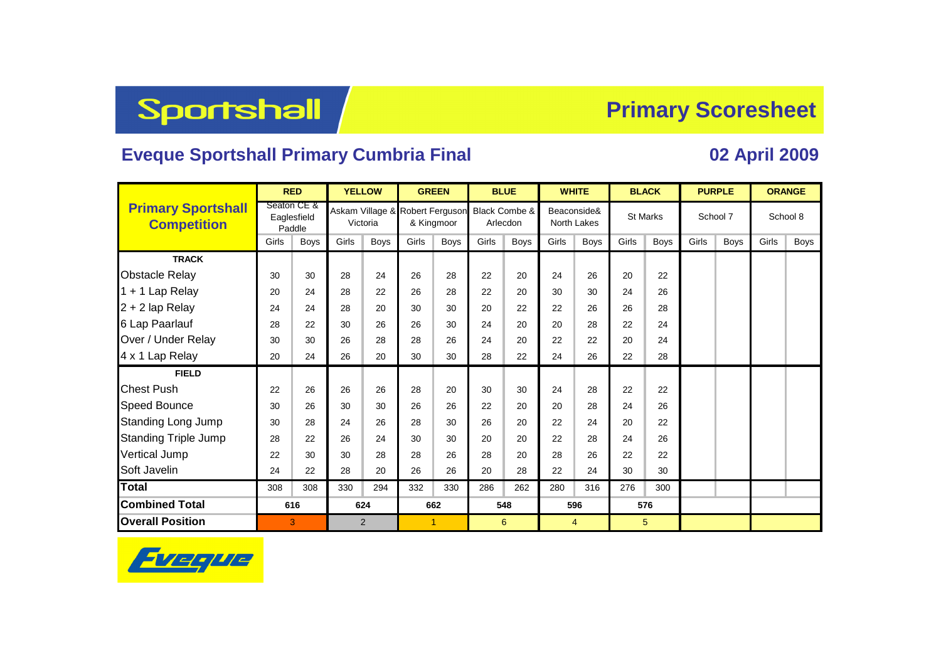# Sportshall

### **Primary Scoresheet**

### **Eveque Sportshall Primary Cumbria Final 02 April 2009**

|                                                 |       | <b>RED</b>                           | <b>YELLOW</b> |             | <b>GREEN</b>                                  |             |          | <b>BLUE</b>   | <b>WHITE</b>               |             |       | <b>BLACK</b>    |       | <b>PURPLE</b> | <b>ORANGE</b> |             |  |
|-------------------------------------------------|-------|--------------------------------------|---------------|-------------|-----------------------------------------------|-------------|----------|---------------|----------------------------|-------------|-------|-----------------|-------|---------------|---------------|-------------|--|
| <b>Primary Sportshall</b><br><b>Competition</b> |       | Seaton CE &<br>Eaglesfield<br>Paddle | Victoria      |             | Askam Village & Robert Ferguson<br>& Kingmoor |             | Arlecdon | Black Combe & | Beaconside&<br>North Lakes |             |       | <b>St Marks</b> |       | School 7      | School 8      |             |  |
|                                                 | Girls | <b>Boys</b>                          | Girls         | <b>Boys</b> | Girls                                         | <b>Boys</b> | Girls    | <b>Boys</b>   | Girls                      | <b>Boys</b> | Girls | <b>Boys</b>     | Girls | <b>Boys</b>   | Girls         | <b>Boys</b> |  |
| <b>TRACK</b>                                    |       |                                      |               |             |                                               |             |          |               |                            |             |       |                 |       |               |               |             |  |
| <b>Obstacle Relay</b>                           | 30    | 30                                   | 28            | 24          | 26                                            | 28          | 22       | 20            | 24                         | 26          | 20    | 22              |       |               |               |             |  |
| 1 + 1 Lap Relay                                 | 20    | 24                                   | 28            | 22          | 26                                            | 28          | 22       | 20            | 30                         | 30          | 24    | 26              |       |               |               |             |  |
| $2 + 2$ lap Relay                               | 24    | 24                                   | 28            | 20          | 30                                            | 30          | 20       | 22            | 22                         | 26          | 26    | 28              |       |               |               |             |  |
| 6 Lap Paarlauf                                  | 28    | 22                                   | 30            | 26          | 26                                            | 30          | 24       | 20            | 20                         | 28          | 22    | 24              |       |               |               |             |  |
| Over / Under Relay                              | 30    | 30                                   | 26            | 28          | 28                                            | 26          | 24       | 20            | 22                         | 22          | 20    | 24              |       |               |               |             |  |
| 4 x 1 Lap Relay                                 | 20    | 24                                   | 26            | 20          | 30                                            | 30          | 28       | 22            | 24                         | 26          | 22    | 28              |       |               |               |             |  |
| <b>FIELD</b>                                    |       |                                      |               |             |                                               |             |          |               |                            |             |       |                 |       |               |               |             |  |
| <b>Chest Push</b>                               | 22    | 26                                   | 26            | 26          | 28                                            | 20          | 30       | 30            | 24                         | 28          | 22    | 22              |       |               |               |             |  |
| <b>Speed Bounce</b>                             | 30    | 26                                   | 30            | 30          | 26                                            | 26          | 22       | 20            | 20                         | 28          | 24    | 26              |       |               |               |             |  |
| <b>Standing Long Jump</b>                       | 30    | 28                                   | 24            | 26          | 28                                            | 30          | 26       | 20            | 22                         | 24          | 20    | 22              |       |               |               |             |  |
| <b>Standing Triple Jump</b>                     | 28    | 22                                   | 26            | 24          | 30                                            | 30          | 20       | 20            | 22                         | 28          | 24    | 26              |       |               |               |             |  |
| <b>Vertical Jump</b>                            | 22    | 30                                   | 30            | 28          | 28                                            | 26          | 28       | 20            | 28                         | 26          | 22    | 22              |       |               |               |             |  |
| Soft Javelin                                    | 24    | 22                                   | 28            | 20          | 26                                            | 26          | 20       | 28            | 22                         | 24          | 30    | 30              |       |               |               |             |  |
| <b>Total</b>                                    | 308   | 308                                  | 330           | 294         | 332                                           | 330         | 286      | 262           | 280                        | 316         | 276   | 300             |       |               |               |             |  |
| <b>Combined Total</b>                           | 616   |                                      | 624           |             | 662                                           |             | 548      |               | 596                        |             |       | 576             |       |               |               |             |  |
| <b>Overall Position</b>                         |       | 3                                    |               | 2           | 1                                             |             |          | 6             |                            | 4           |       | 5               |       |               |               |             |  |

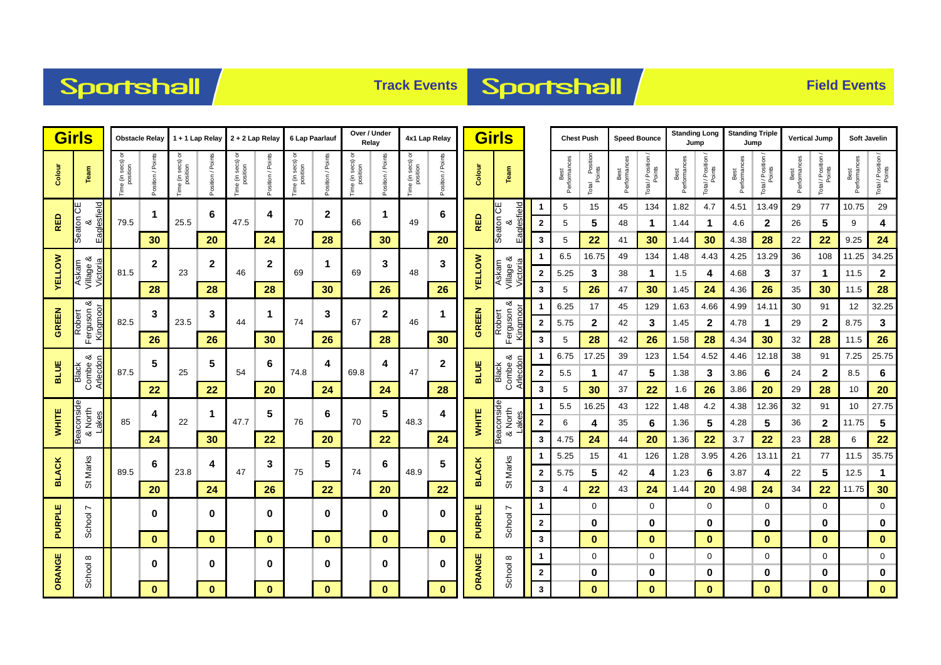## Sportshall



| <b>Girls</b>  |                                       |                               | <b>Obstacle Relay</b> | 1 + 1 Lap Relay                   |                   | 2 + 2 Lap Relay               |                      | 6 Lap Paarlauf                    |                   | Over / Under<br>Relay              |                         | 4x1 Lap Relay                 |                   | <b>Girls</b>  |                                |                  | <b>Chest Push</b>    |                                | <b>Speed Bounce</b>  |                              | <b>Standing Long</b><br>Jump |                              | <b>Standing Triple</b><br>Jump |                              | <b>Vertical Jump</b> |                              | Soft Javelin         |                              |
|---------------|---------------------------------------|-------------------------------|-----------------------|-----------------------------------|-------------------|-------------------------------|----------------------|-----------------------------------|-------------------|------------------------------------|-------------------------|-------------------------------|-------------------|---------------|--------------------------------|------------------|----------------------|--------------------------------|----------------------|------------------------------|------------------------------|------------------------------|--------------------------------|------------------------------|----------------------|------------------------------|----------------------|------------------------------|
| Colour        | Team                                  | "ime (in secs) or<br>position | Position / Points     | ৯<br>Time (in secs) c<br>position | Position / Points | Fime (in secs) or<br>position | Points<br>Position / | a (in secs) or<br>position<br>emi | Position / Points | e (in secs) or<br>position<br>Time | Position / Points       | Fime (in secs) or<br>position | Position / Points | Colour        | Team                           |                  | Best<br>Performances | Il Position<br>Points<br>Total | Best<br>Performances | Total / Position /<br>Points | Performances<br>Best         | Total / Position /<br>Points | Performances<br>Best           | Total / Position /<br>Points | Performances<br>Best | Total / Position /<br>Points | Best<br>Performances | Total / Position /<br>Points |
|               | ш                                     |                               | $\mathbf{1}$          |                                   | 6                 |                               | 4                    |                                   | $\mathbf 2$       |                                    | 1                       |                               | 6                 |               |                                | 1                | 5                    | 15                             | 45                   | 134                          | 1.82                         | 4.7                          | 4.51                           | 13.49                        | 29                   | 77                           | 10.75                | 29                           |
| RED           | Eaglesfield<br>Seaton Cl              | 79.5                          |                       | 25.5                              |                   | 47.5                          |                      | 70                                |                   | 66                                 |                         | 49                            |                   | <b>RED</b>    | Eaglesfield<br>Seaton CE<br>ఱ  | $\mathbf{2}$     | 5                    | 5                              | 48                   | 1                            | 1.44                         | 1                            | 4.6                            | 2                            | 26                   | 5                            | 9                    | 4                            |
|               |                                       |                               | 30                    | 20                                |                   | 24                            |                      | 28                                |                   | 30                                 |                         | 20                            |                   |               | 3                              | 5                | 22                   | 41                             | 30                   | 1.44                         | 30                           | 4.38                         | 28                             | 22                           | 22                   | 9.25                         | 24                   |                              |
|               | య                                     |                               | $\mathbf{2}$          |                                   | $\mathbf{2}$      |                               | $\mathbf{2}$         |                                   | 1                 |                                    | 3                       |                               | 3                 |               | જ                              |                  | 6.5                  | 16.75                          | 49                   | 134                          | 1.48                         | 4.43                         | 4.25                           | 13.29                        | 36                   | 108                          | 11.25                | 34.25                        |
| <b>VELLOW</b> | Askam<br>Village &<br>Victoria        | 81.5                          |                       | 23                                |                   | 46                            |                      | 69                                |                   | 69                                 |                         | 48                            |                   | <b>AELLOM</b> | Askam<br>Village 8<br>Victoria | $\boldsymbol{2}$ | 5.25                 | 3                              | 38                   | 1                            | 1.5                          | 4                            | 4.68                           | 3                            | 37                   | $\mathbf 1$                  | 11.5                 | $\mathbf{2}$                 |
|               |                                       |                               | 28                    |                                   | 28                |                               | 28                   |                                   | 30                |                                    | 26                      |                               | 26                |               |                                | 3                | 5                    | 26                             | 47                   | 30                           | 1.45                         | 24                           | 4.36                           | 26                           | 35                   | 30                           | 11.5                 | 28                           |
| <b>GREEN</b>  | య<br>Robert<br>Ferguson &<br>Kingmoor | 82.5                          | 3                     |                                   | 3                 |                               | $\mathbf 1$          |                                   | 3                 |                                    | $\mathbf 2$<br>46<br>28 |                               | 1                 |               | య                              | 1                | 6.25                 | 17                             | 45                   | 129                          | 1.63                         | 4.66                         | 4.99                           | 14.11                        | 30                   | 91                           | 12                   | 32.25                        |
|               |                                       |                               |                       | 23.5                              |                   | 44                            |                      | 74                                |                   | 67                                 |                         |                               |                   | GREEN         | Robert<br>Ferguson<br>Kingmoor | $\mathbf{2}$     | 5.75                 | $\mathbf 2$                    | 42                   | 3                            | 1.45                         | $\mathbf 2$                  | 4.78                           | $\mathbf 1$                  | 29                   | $\boldsymbol{2}$             | 8.75                 | $\mathbf{3}$                 |
|               |                                       |                               | 26                    |                                   | 26                |                               | 30                   |                                   | 26                |                                    |                         |                               | 30                |               |                                | 3                | 5                    | 28                             | 42                   | 26                           | 1.58                         | 28                           | 4.34                           | 30                           | 32                   | 28                           | 11.5                 | 26                           |
| <b>BLUE</b>   | య<br>Black<br>Combe &<br>Arlecdon     |                               | 5                     | 5<br>25                           |                   |                               | 6                    |                                   | 4                 |                                    | 4                       |                               | 2                 |               | ∞ర                             | 1                | 6.75                 | 17.25                          | 39                   | 123                          | 1.54                         | 4.52                         | 4.46                           | 12.18                        | 38                   | 91                           | 7.25                 | 25.75                        |
|               |                                       | 87.5                          |                       |                                   |                   | 54                            |                      | 74.8                              |                   | 69.8                               |                         | 47                            |                   | <b>BLUE</b>   | Arlecdor<br>Black<br>Combe     | $\mathbf{2}$     | 5.5                  | $\mathbf 1$                    | 47                   | 5                            | 1.38                         | 3                            | 3.86                           | 6                            | 24                   | $\mathbf{2}$                 | 8.5                  | $\bf 6$                      |
|               |                                       |                               | 22                    |                                   | 22                |                               | 20                   |                                   | 24                |                                    | 24                      |                               | 28                |               |                                | 3                | 5                    | 30                             | 37                   | 22                           | 1.6                          | 26                           | 3.86                           | 20                           | 29                   | 28                           | 10                   | 20                           |
|               |                                       |                               | 4                     |                                   | -1                |                               | 5                    |                                   | 6                 | 70                                 | 5                       |                               | 4                 |               | Beaconside<br>& North          |                  | 5.5                  | 16.25                          | 43                   | 122                          | 1.48                         | 4.2                          | 4.38                           | 12.36                        | 32                   | 91                           | 10                   | 27.75                        |
| WHITE         | Beaconside<br>& North<br>Lakes        | 85                            |                       | 22                                |                   | 47.7                          |                      | 76                                |                   |                                    |                         | 48.3                          |                   | <b>WHITE</b>  | akes                           | $\mathbf{2}$     | 6                    | 4                              | 35                   | 6                            | 1.36                         | 5                            | 4.28                           | 5                            | 36                   | $\boldsymbol{2}$             | 11.75                | ${\bf 5}$                    |
|               |                                       |                               | 24                    |                                   | 30                |                               | 22                   |                                   | 20                |                                    | 22                      |                               | 24                |               |                                | 3                | 4.75                 | 24                             | 44                   | 20                           | 1.36                         | 22                           | 3.7                            | 22                           | 23                   | 28                           | 6                    | 22                           |
|               |                                       |                               | 6                     |                                   | 4                 |                               | 3                    |                                   | 5                 |                                    | 6                       | 48.9                          | 5                 |               |                                | 1                | 5.25                 | 15                             | 41                   | 126                          | 1.28                         | 3.95                         | 4.26                           | 13.11                        | 21                   | 77                           | 11.5                 | 35.75                        |
| <b>BLACK</b>  | St Marks                              | 89.5                          |                       | 23.8                              |                   | 47                            |                      | 75                                |                   | 74                                 |                         |                               |                   | <b>BLACK</b>  | St Marks                       | $\mathbf{2}$     | 5.75                 | 5                              | 42                   | 4                            | 1.23                         | 6                            | 3.87                           | 4                            | 22                   | 5                            | 12.5                 | $\mathbf{1}$                 |
|               |                                       |                               | 20                    |                                   | 24                |                               | 26                   |                                   | 22                |                                    | 20                      |                               | 22                |               |                                | 3                | 4                    | 22                             | 43                   | 24                           | 1.44                         | 20                           | 4.98                           | 24                           | 34                   | 22                           | 11.75                | 30                           |
|               | ∼                                     |                               | 0                     |                                   | 0                 |                               | $\bf{0}$             |                                   | 0                 |                                    | 0                       |                               | 0                 |               | $\overline{ }$                 | 1                |                      | 0                              |                      | 0                            |                              | $\mathbf 0$                  |                                | 0                            |                      | 0                            |                      | $\pmb{0}$                    |
| <b>PURPLE</b> | School                                |                               |                       |                                   |                   |                               |                      |                                   |                   |                                    |                         |                               |                   | PURPLE        | School                         | $\mathbf{2}$     |                      | 0                              |                      | 0                            |                              | $\bf{0}$                     |                                | 0                            |                      | 0                            |                      | $\bf{0}$                     |
|               |                                       |                               | $\bf{0}$              |                                   | $\bf{0}$          |                               | $\bf{0}$             |                                   | $\bf{0}$          |                                    | $\mathbf{0}$            |                               | $\mathbf{0}$      |               |                                | 3                |                      | $\bf{0}$                       |                      | $\bf{0}$                     |                              | $\bf{0}$                     |                                | $\bf{0}$                     |                      | $\bf{0}$                     |                      | $\mathbf{0}$                 |
| ORANGE        | $\infty$                              |                               | $\bf{0}$              |                                   | $\mathbf 0$       |                               | $\bf{0}$             |                                   | 0                 |                                    | $\bf{0}$                |                               | 0                 |               | $\infty$                       | 1                |                      | 0                              |                      | $\mathbf 0$                  |                              | $\mathbf 0$                  |                                | 0                            |                      | 0                            |                      | $\mathbf 0$                  |
|               | School                                |                               |                       |                                   |                   |                               |                      |                                   |                   |                                    |                         |                               |                   | ORANGE        | School                         | $\mathbf{2}$     |                      | 0                              |                      | 0                            |                              | 0                            |                                | 0                            |                      | 0                            |                      | $\pmb{0}$                    |
|               |                                       |                               | $\bf{0}$              |                                   | $\bf{0}$          |                               | $\bf{0}$             |                                   | $\bf{0}$          |                                    | $\mathbf{0}$            |                               | $\bf{0}$          |               |                                | $\mathbf{3}$     |                      | $\bf{0}$                       |                      | $\bf{0}$                     |                              | $\bf{0}$                     |                                | 0                            |                      | $\bf{0}$                     |                      | $\mathbf 0$                  |